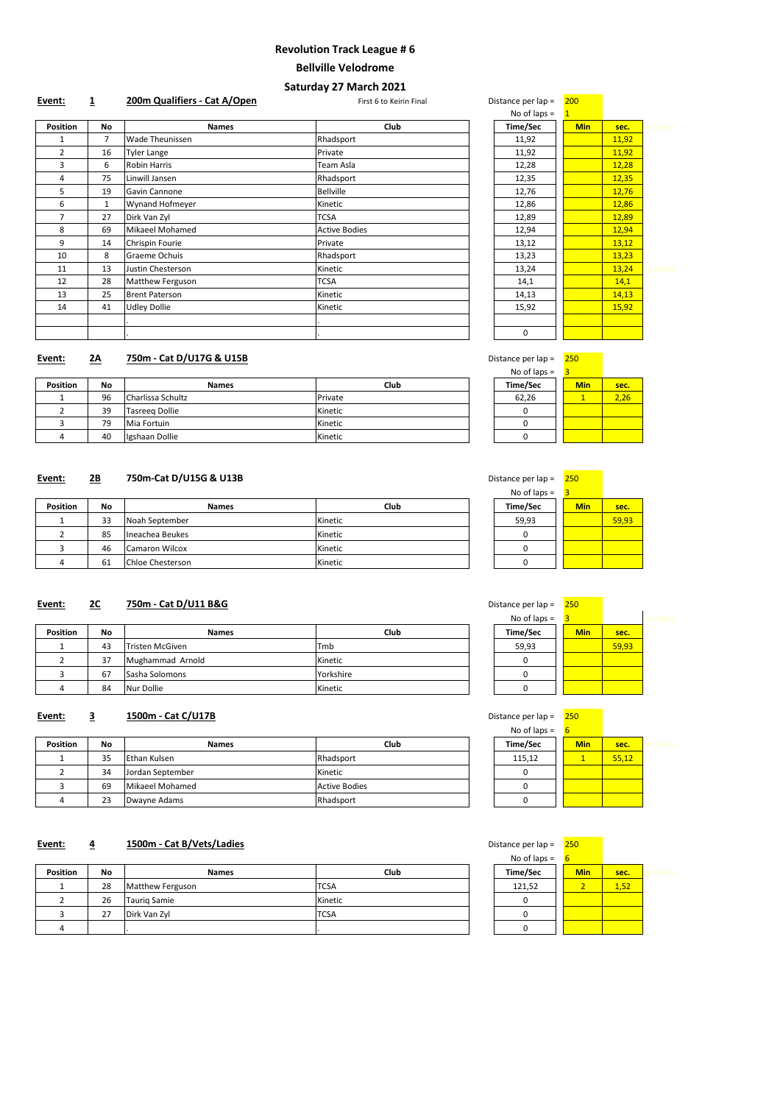| Event:          | $\overline{\mathbf{1}}$ | 200m Qualifiers - Cat A/Open | First 6 to Keirin Final | Distance per lap = | 200        |       |         |
|-----------------|-------------------------|------------------------------|-------------------------|--------------------|------------|-------|---------|
|                 |                         |                              |                         | No of laps $=$     |            |       |         |
| <b>Position</b> | No                      | <b>Names</b>                 | <b>Club</b>             | <b>Time/Sec</b>    | <b>Min</b> | sec.  | seconds |
|                 | $\overline{7}$          | <b>Wade Theunissen</b>       | Rhadsport               | 11,92              |            | 11,92 |         |
| $\overline{2}$  | 16                      | Tyler Lange                  | Private                 | 11,92              |            | 11,92 |         |
| 3               | 6                       | <b>Robin Harris</b>          | Team Asla               | 12,28              |            | 12,28 |         |
| 4               | 75                      | Linwill Jansen               | Rhadsport               | 12,35              |            | 12,35 |         |
| 5               | 19                      | Gavin Cannone                | <b>Bellville</b>        | 12,76              |            | 12,76 |         |
| 6               | $\mathbf{1}$            | <b>Wynand Hofmeyer</b>       | Kinetic                 | 12,86              |            | 12,86 |         |
| 7               | 27                      | Dirk Van Zyl                 | <b>TCSA</b>             | 12,89              |            | 12,89 |         |
| 8               | 69                      | Mikaeel Mohamed              | <b>Active Bodies</b>    | 12,94              |            | 12,94 |         |
| 9               | 14                      | Chrispin Fourie              | Private                 | 13,12              |            | 13,12 |         |
| 10              | 8                       | Graeme Ochuis                | Rhadsport               | 13,23              |            | 13,23 |         |
| 11              | 13                      | Justin Chesterson            | Kinetic                 | 13,24              |            | 13,24 | seconds |
| 12              | 28                      | Matthew Ferguson             | <b>TCSA</b>             | 14,1               |            | 14,1  |         |
| 13              | 25                      | <b>Brent Paterson</b>        | Kinetic                 | 14,13              |            | 14,13 |         |
| 14              | 41                      | <b>Udley Dollie</b>          | Kinetic                 | 15,92              |            | 15,92 |         |
|                 |                         |                              |                         |                    |            |       |         |
|                 |                         |                              |                         | $\Omega$           |            |       |         |

# **Event: 2A 750m - Cat D/U17G & U15B Distance per lap = 250m + 250m - Cat D/U17G & U15B**

|                 |                |                        |                      | No of laps $=$  |            |       |         |
|-----------------|----------------|------------------------|----------------------|-----------------|------------|-------|---------|
| <b>Position</b> | No             | <b>Names</b>           | Club                 | <b>Time/Sec</b> | <b>Min</b> | sec.  | seconds |
|                 | $\overline{7}$ | <b>Wade Theunissen</b> | Rhadsport            | 11,92           |            | 11,92 |         |
| $\overline{2}$  | 16             | Tyler Lange            | Private              | 11,92           |            | 11,92 |         |
| 3               | 6              | <b>Robin Harris</b>    | Team Asla            | 12,28           |            | 12,28 |         |
| 4               | 75             | Linwill Jansen         | Rhadsport            | 12,35           |            | 12,35 |         |
| 5               | 19             | Gavin Cannone          | <b>Bellville</b>     | 12,76           |            | 12,76 |         |
| 6               | $\mathbf{1}$   | <b>Wynand Hofmeyer</b> | Kinetic              | 12,86           |            | 12,86 |         |
| 7               | 27             | Dirk Van Zyl           | <b>TCSA</b>          | 12,89           |            | 12,89 |         |
| 8               | 69             | Mikaeel Mohamed        | <b>Active Bodies</b> | 12,94           |            | 12,94 |         |
| 9               | 14             | Chrispin Fourie        | Private              | 13,12           |            | 13,12 |         |
| 10              | 8              | Graeme Ochuis          | Rhadsport            | 13,23           |            | 13,23 |         |
| 11              | 13             | Justin Chesterson      | Kinetic              | 13,24           |            | 13,24 | seconds |
| 12              | 28             | Matthew Ferguson       | <b>TCSA</b>          | 14,1            |            | 14,1  |         |
| 13              | 25             | <b>Brent Paterson</b>  | Kinetic              | 14,13           |            | 14,13 |         |
| 14              | 41             | <b>Udley Dollie</b>    | Kinetic              | 15,92           |            | 15,92 |         |
|                 |                |                        |                      |                 |            |       |         |
|                 |                |                        |                      | 0               |            |       |         |

| istance per lap = | 250 |      |
|-------------------|-----|------|
| No of laps $=$    | 3   |      |
| Time/Sec          | Min | sec. |
| 62,26             |     | 2,26 |
|                   |     |      |
|                   |     |      |
|                   |     |      |

# **Event: 2B 750m-Cat D/U15G & U13B Distance per lap = 250m = 250m-Cat D/U15G & U13B**

|                 |           |                   |         | .               |            |      |
|-----------------|-----------|-------------------|---------|-----------------|------------|------|
| <b>Position</b> | <b>No</b> | <b>Names</b>      | Club    | <b>Time/Sec</b> | <b>Min</b> | sec. |
|                 | 96        | Charlissa Schultz | Private | 62,26           |            | 2,26 |
|                 | 39        | Tasreeg Dollie    | Kinetic |                 |            |      |
|                 | 79        | Mia Fortuin       | Kinetic |                 |            |      |
|                 | 40        | Igshaan Dollie    | Kinetic |                 |            |      |

| Jistance per lap = | 250        |       |
|--------------------|------------|-------|
| No of laps $=$     | 3          |       |
| Time/Sec           | <b>Min</b> | sec.  |
| 59,93              |            | 59,93 |
|                    |            |       |
|                    |            |       |
|                    |            |       |

|                 |           |                         |         | $110$ U 1003 – |            |       |
|-----------------|-----------|-------------------------|---------|----------------|------------|-------|
| <b>Position</b> | <b>No</b> | <b>Names</b>            | Club    | Time/Sec       | <b>Min</b> | sec.  |
|                 | 33        | Noah September          | Kinetic | 59,93          |            | 59,93 |
|                 | 85        | Ineachea Beukes         | Kinetic |                |            |       |
|                 | 46        | <b>Camaron Wilcox</b>   | Kinetic |                |            |       |
|                 | 61        | <b>Chloe Chesterson</b> | Kinetic |                |            |       |

| Distance per lap = | 250        |       |  |
|--------------------|------------|-------|--|
| No of laps $=$     | 3          |       |  |
| Time/Sec           | <b>Min</b> | sec.  |  |
| 59,93              |            | 59,93 |  |
|                    |            |       |  |
|                    |            |       |  |
|                    |            |       |  |

# **Event: 2C 750m - Cat D/U11 B&G**

|                 |           |                  |           | $110$ U Taps $-$ |            |       |
|-----------------|-----------|------------------|-----------|------------------|------------|-------|
| <b>Position</b> | <b>No</b> | <b>Names</b>     | Club      | Time/Sec         | <b>Min</b> | sec.  |
|                 | 43        | Tristen McGiven  | 'Tmb      | 59,93            |            | 59,93 |
|                 | 37        | Mughammad Arnold | Kinetic   |                  |            |       |
|                 | 67        | Sasha Solomons   | Yorkshire |                  |            |       |
|                 |           |                  |           |                  |            |       |

| Dollie<br><b>Nur</b><br>84 | Kinetic |  |  |
|----------------------------|---------|--|--|
|----------------------------|---------|--|--|

|--|--|--|--|

| Event: |  | 1500m - Cat C/U17B | Distance per lap $=$ | 250 |
|--------|--|--------------------|----------------------|-----|
|--------|--|--------------------|----------------------|-----|

| Distance per lap = | 25U        |       |  |
|--------------------|------------|-------|--|
| No of laps $=$     | 6          |       |  |
| Time/Sec           | <b>Min</b> | sec.  |  |
| 115,12             |            | 55,12 |  |
|                    |            |       |  |
|                    |            |       |  |
|                    |            |       |  |

# **Event: 4 1500m - Cat B/Vets/Ladies**

| <b>Position</b> | <b>No</b> | <b>Names</b>     | <b>Club</b>          | Time/Sec | <b>Min</b> | sec.  |  |
|-----------------|-----------|------------------|----------------------|----------|------------|-------|--|
|                 | 35        | Ethan Kulsen     | Rhadsport            | 115,12   |            | 55,12 |  |
|                 | 34        | Jordan September | Kinetic              |          |            |       |  |
|                 | 69        | Mikaeel Mohamed  | <b>Active Bodies</b> |          |            |       |  |
|                 | 23        | Dwayne Adams     | Rhadsport            |          |            |       |  |

| Distance per lap = | <b>250</b> |      |  |
|--------------------|------------|------|--|
| No of laps $=$     | 6          |      |  |
| Time/Sec           | <b>Min</b> | sec. |  |
| 121,52             | 2          | 1,52 |  |
|                    |            |      |  |
|                    |            |      |  |
|                    |            |      |  |

| <b>Position</b> | <b>No</b> | <b>Names</b>     | <b>Club</b> | Time/Sec | <b>Min</b>               | sec. |  |
|-----------------|-----------|------------------|-------------|----------|--------------------------|------|--|
|                 | 28        | Matthew Ferguson | <b>TCSA</b> | 121,52   | $\overline{\phantom{a}}$ | 1,52 |  |
|                 | 26        | Tauriq Samie     | Kinetic     |          |                          |      |  |
|                 | 27        | Dirk Van Zyl     | <b>TCSA</b> |          |                          |      |  |
|                 |           |                  |             |          |                          |      |  |

# **Revolution Track League # 6**

# **Bellville Velodrome**

# **Saturday 27 March 2021**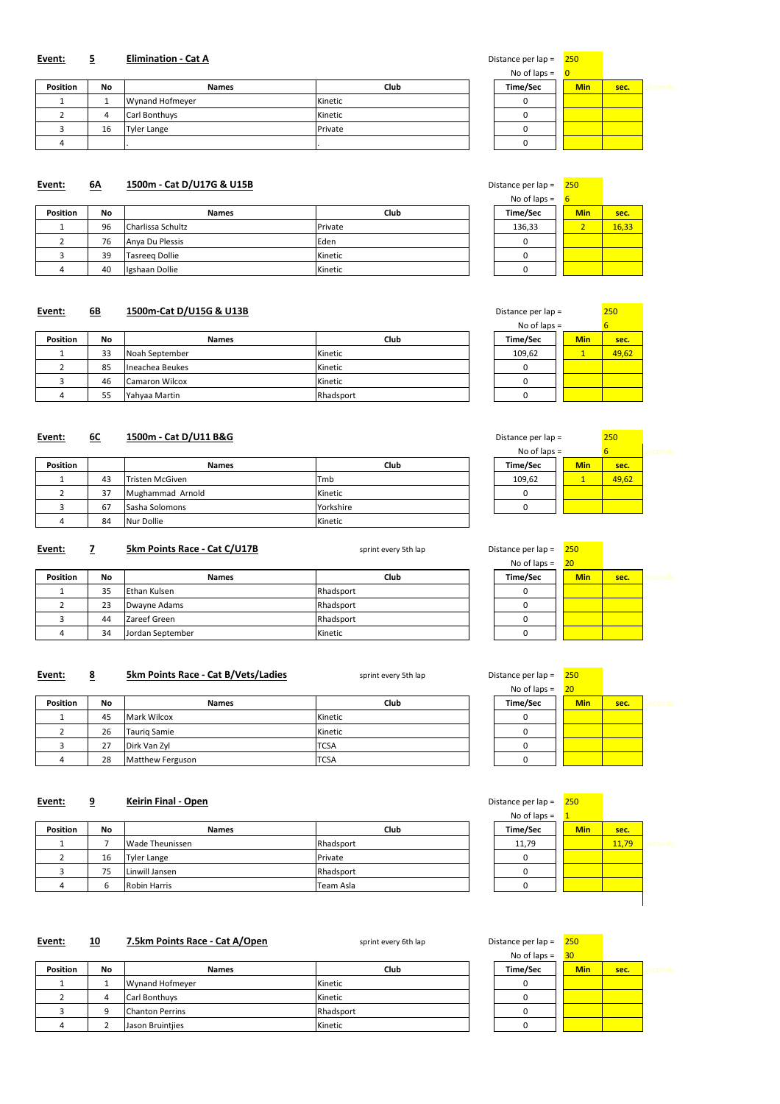| No of laps $=$ |            |      |       |
|----------------|------------|------|-------|
| Time/Sec       | <b>Min</b> | sec. | erono |
|                |            |      |       |
|                |            |      |       |
|                |            |      |       |
|                |            |      |       |

#### **Event:** 6A 1500m - Cat D/U17G & U15B **Distance per lap = 250** Distance per lap = 250

#### **Event:** 5 **Elimination - Cat A Exercise 250 Distance per lap = 250**

| <b>Position</b> | <b>No</b> | <b>Names</b>         | Club    | Time/Sec | <b>Min</b> | sec. |  |
|-----------------|-----------|----------------------|---------|----------|------------|------|--|
|                 |           | Wynand Hofmeyer      | Kinetic |          |            |      |  |
|                 |           | <b>Carl Bonthuys</b> | Kinetic |          |            |      |  |
|                 | 16        | Tyler Lange          | Private |          |            |      |  |
|                 |           |                      |         |          |            |      |  |

No of laps =  $6$ 

| <b>Position</b> | <b>No</b> | <b>Names</b>      | Club    | Time/Sec | <b>Min</b> | sec.  |
|-----------------|-----------|-------------------|---------|----------|------------|-------|
|                 | 96        | Charlissa Schultz | Private | 136,33   |            | 16,33 |
|                 | 76        | Anya Du Plessis   | Eden    |          |            |       |
|                 | 39        | Tasreeg Dollie    | Kinetic |          |            |       |
|                 | 40        | Igshaan Dollie    | Kinetic |          |            |       |

#### **Event: 6B 1500m-Cat D/U15G & U13B**

| Distance per lap = | 250 |       |
|--------------------|-----|-------|
| No of laps $=$     |     | 6     |
| Time/Sec           | Min | sec.  |
| 109,62             |     | 49,62 |
|                    |     |       |
|                    |     |       |
|                    |     |       |

# **Event: 6C 1500m - Cat D/U11 B&G**

| <b>Position</b> | <b>No</b> | <b>Names</b>          | Club      | Time/Sec | <b>Min</b> | sec.  |
|-----------------|-----------|-----------------------|-----------|----------|------------|-------|
|                 | 33        | Noah September        | Kinetic   | 109,62   |            | 49,62 |
|                 | 85        | Ineachea Beukes       | Kinetic   |          |            |       |
|                 | 46        | <b>Camaron Wilcox</b> | Kinetic   |          |            |       |
|                 | 55        | Yahyaa Martin         | Rhadsport |          |            |       |

| Distance per lap = |            | 250   |  |
|--------------------|------------|-------|--|
| No of laps $=$     |            | 6     |  |
| Time/Sec           | <b>Min</b> | sec.  |  |
| 109,62             |            | 49,62 |  |
|                    |            |       |  |
|                    |            |       |  |

| <b>Position</b> |    | <b>Names</b>     | Club      | Time/Sec | <b>Min</b> | sec.  |
|-----------------|----|------------------|-----------|----------|------------|-------|
|                 | 43 | Tristen McGiven  | Tmb       | 109,62   |            | 49,62 |
|                 | 37 | Mughammad Arnold | Kinetic   |          |            |       |
|                 | 67 | Sasha Solomons   | Yorkshire |          |            |       |
|                 | 84 | Nur Dollie       | Kinetic   |          |            |       |

# **Event: 7 5km Points Race - Cat C/U17B** sprint every 5th lap

| Distance per lap = |                | 250        |      |       |
|--------------------|----------------|------------|------|-------|
|                    | No of laps $=$ | 20         |      |       |
|                    | Time/Sec       | <b>Min</b> | sec. | sernn |
|                    |                |            |      |       |
|                    |                |            |      |       |
|                    |                |            |      |       |
|                    |                |            |      |       |

#### **Event:** 8 **5km Points Race - Cat B/Vets/Ladies** sprint every 5th lap Distance per lap = 250

| <b>Position</b> | <b>No</b> | <b>Names</b>     | <b>Club</b> | Time/Sec | <b>Min</b> | sec. |  |
|-----------------|-----------|------------------|-------------|----------|------------|------|--|
|                 | 35        | Ethan Kulsen     | Rhadsport   |          |            |      |  |
|                 | 23        | Dwayne Adams     | Rhadsport   |          |            |      |  |
|                 | 44        | Zareef Green     | Rhadsport   |          |            |      |  |
|                 | 34        | Jordan September | Kinetic     |          |            |      |  |

| No of laps $=$ | 20         |      |       |
|----------------|------------|------|-------|
| Time/Sec       | <b>Min</b> | sec. | secor |
|                |            |      |       |
|                |            |      |       |
|                |            |      |       |
|                |            |      |       |

# **Event:** 9 **Keirin Final - Open**

|                 |           |                     |             | .               |            |      |  |
|-----------------|-----------|---------------------|-------------|-----------------|------------|------|--|
| <b>Position</b> | <b>No</b> | <b>Names</b>        | <b>Club</b> | <b>Time/Sec</b> | <b>Min</b> | sec. |  |
|                 | 45        | Mark Wilcox         | Kinetic     |                 |            |      |  |
|                 | 26        | <b>Taurig Samie</b> | Kinetic     |                 |            |      |  |
|                 | 27        | Dirk Van Zyl        | <b>TCSA</b> |                 |            |      |  |
|                 | 28        | Matthew Ferguson    | <b>TCSA</b> |                 |            |      |  |

| Distance per lap = |              | 250        |       |       |
|--------------------|--------------|------------|-------|-------|
| No of laps $=$     | $\mathbf{1}$ |            |       |       |
| Time/Sec           |              | <b>Min</b> | sec.  |       |
| 11,79              |              |            | 11,79 | econd |
|                    |              |            |       |       |
|                    |              |            |       |       |
|                    |              |            |       |       |
|                    |              |            |       |       |

#### **Event: 10 7.5km Points Race - Cat A/Open** sprint every 6th lap

| <b>Position</b> | <b>No</b> | <b>Names</b>           | Club      | Time/Sec | <b>Min</b> | sec.  |  |
|-----------------|-----------|------------------------|-----------|----------|------------|-------|--|
|                 |           | <b>Wade Theunissen</b> | Rhadsport | 11,79    |            | 11,79 |  |
|                 | 16        | Tyler Lange            | Private   |          |            |       |  |
|                 | 75        | Linwill Jansen         | Rhadsport |          |            |       |  |
|                 |           | <b>Robin Harris</b>    | Team Asla |          |            |       |  |

| Distance per lap = | 250        |      |       |
|--------------------|------------|------|-------|
| No of laps $=$     | 30         |      |       |
| Time/Sec           | <b>Min</b> | sec. | secor |
|                    |            |      |       |
|                    |            |      |       |
|                    |            |      |       |
|                    |            |      |       |

| <b>Position</b> | <b>No</b> | <b>Names</b>           | Club      | Time/Sec | <b>Min</b> | sec. |  |
|-----------------|-----------|------------------------|-----------|----------|------------|------|--|
|                 |           | Wynand Hofmeyer        | Kinetic   |          |            |      |  |
|                 |           | <b>Carl Bonthuys</b>   | Kinetic   |          |            |      |  |
|                 |           | <b>Chanton Perrins</b> | Rhadsport |          |            |      |  |
|                 |           | Jason Bruintjies       | Kinetic   |          |            |      |  |